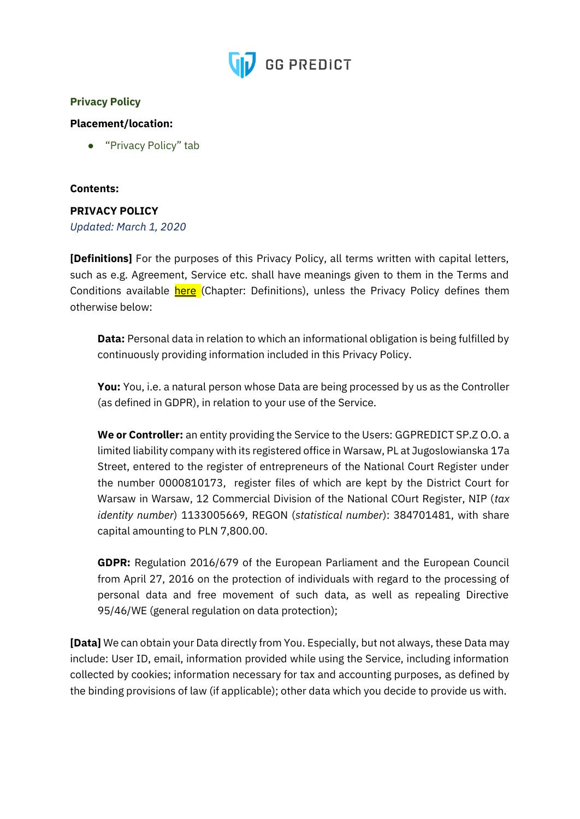

## **Privacy Policy**

## **Placement/location:**

● "Privacy Policy" tab

## **Contents:**

## **PRIVACY POLICY**

*Updated: March 1, 2020*

**[Definitions]** For the purposes of this Privacy Policy, all terms written with capital letters, such as e.g. Agreement, Service etc. shall have meanings given to them in the Terms and Conditions available here (Chapter: Definitions), unless the Privacy Policy defines them otherwise below:

**Data:** Personal data in relation to which an informational obligation is being fulfilled by continuously providing information included in this Privacy Policy.

**You:** You, i.e. a natural person whose Data are being processed by us as the Controller (as defined in GDPR), in relation to your use of the Service.

**We or Controller:** an entity providing the Service to the Users: GGPREDICT SP.Z O.O. a limited liability company with its registered office in Warsaw, PL at Jugoslowianska 17a Street, entered to the register of entrepreneurs of the National Court Register under the number 0000810173, register files of which are kept by the District Court for Warsaw in Warsaw, 12 Commercial Division of the National COurt Register, NIP (*tax identity number*) 1133005669, REGON (*statistical number*): 384701481, with share capital amounting to PLN 7,800.00.

**GDPR:** Regulation 2016/679 of the European Parliament and the European Council from April 27, 2016 on the protection of individuals with regard to the processing of personal data and free movement of such data, as well as repealing Directive 95/46/WE (general regulation on data protection);

**[Data]** We can obtain your Data directly from You. Especially, but not always, these Data may include: User ID, email, information provided while using the Service, including information collected by cookies; information necessary for tax and accounting purposes, as defined by the binding provisions of law (if applicable); other data which you decide to provide us with.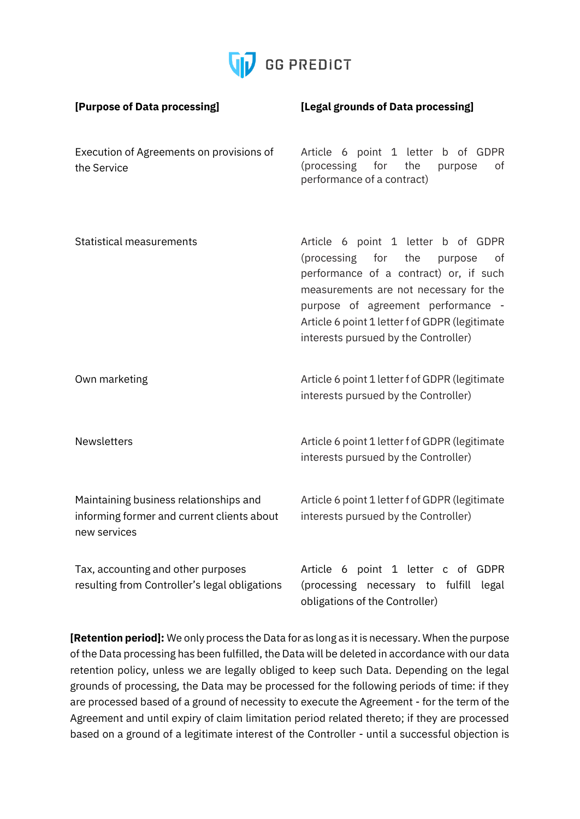

| [Purpose of Data processing]                                                                         | [Legal grounds of Data processing]                                                                                                                                                                                                                                                                |
|------------------------------------------------------------------------------------------------------|---------------------------------------------------------------------------------------------------------------------------------------------------------------------------------------------------------------------------------------------------------------------------------------------------|
| Execution of Agreements on provisions of<br>the Service                                              | Article 6 point 1 letter b of GDPR<br>(processing for<br>the<br>purpose<br>of<br>performance of a contract)                                                                                                                                                                                       |
| <b>Statistical measurements</b>                                                                      | Article 6 point 1 letter b of GDPR<br>(processing for<br>the<br>purpose<br>of<br>performance of a contract) or, if such<br>measurements are not necessary for the<br>purpose of agreement performance -<br>Article 6 point 1 letter f of GDPR (legitimate<br>interests pursued by the Controller) |
| Own marketing                                                                                        | Article 6 point 1 letter f of GDPR (legitimate<br>interests pursued by the Controller)                                                                                                                                                                                                            |
| <b>Newsletters</b>                                                                                   | Article 6 point 1 letter f of GDPR (legitimate<br>interests pursued by the Controller)                                                                                                                                                                                                            |
| Maintaining business relationships and<br>informing former and current clients about<br>new services | Article 6 point 1 letter f of GDPR (legitimate<br>interests pursued by the Controller)                                                                                                                                                                                                            |
| Tax, accounting and other purposes<br>resulting from Controller's legal obligations                  | Article 6 point 1 letter c of GDPR<br>(processing necessary to fulfill legal<br>obligations of the Controller)                                                                                                                                                                                    |

**[Retention period]:** We only process the Data for as long as it is necessary. When the purpose of the Data processing has been fulfilled, the Data will be deleted in accordance with our data retention policy, unless we are legally obliged to keep such Data. Depending on the legal grounds of processing, the Data may be processed for the following periods of time: if they are processed based of a ground of necessity to execute the Agreement - for the term of the Agreement and until expiry of claim limitation period related thereto; if they are processed based on a ground of a legitimate interest of the Controller - until a successful objection is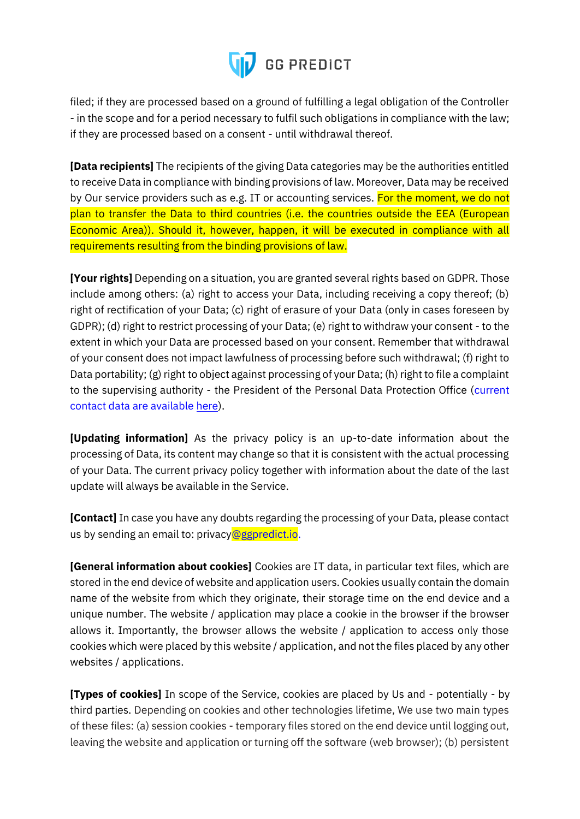

filed; if they are processed based on a ground of fulfilling a legal obligation of the Controller - in the scope and for a period necessary to fulfil such obligations in compliance with the law; if they are processed based on a consent - until withdrawal thereof.

**[Data recipients]** The recipients of the giving Data categories may be the authorities entitled to receive Data in compliance with binding provisions of law. Moreover, Data may be received by Our service providers such as e.g. IT or accounting services. For the moment, we do not plan to transfer the Data to third countries (i.e. the countries outside the EEA (European Economic Area)). Should it, however, happen, it will be executed in compliance with all requirements resulting from the binding provisions of law.

**[Your rights]** Depending on a situation, you are granted several rights based on GDPR. Those include among others: (a) right to access your Data, including receiving a copy thereof; (b) right of rectification of your Data; (c) right of erasure of your Data (only in cases foreseen by GDPR); (d) right to restrict processing of your Data; (e) right to withdraw your consent - to the extent in which your Data are processed based on your consent. Remember that withdrawal of your consent does not impact lawfulness of processing before such withdrawal; (f) right to Data portability; (g) right to object against processing of your Data; (h) right to file a complaint to the supervising authority - the President of the Personal Data Protection Office (current contact data are available here).

**[Updating information]** As the privacy policy is an up-to-date information about the processing of Data, its content may change so that it is consistent with the actual processing of your Data. The current privacy policy together with information about the date of the last update will always be available in the Service.

**[Contact]** In case you have any doubts regarding the processing of your Data, please contact us by sending an email to: privacy@ggpredict.io.

**[General information about cookies]** Cookies are IT data, in particular text files, which are stored in the end device of website and application users. Cookies usually contain the domain name of the website from which they originate, their storage time on the end device and a unique number. The website / application may place a cookie in the browser if the browser allows it. Importantly, the browser allows the website / application to access only those cookies which were placed by this website / application, and not the files placed by any other websites / applications.

**[Types of cookies]** In scope of the Service, cookies are placed by Us and - potentially - by third parties. Depending on cookies and other technologies lifetime, We use two main types of these files: (a) session cookies - temporary files stored on the end device until logging out, leaving the website and application or turning off the software (web browser); (b) persistent